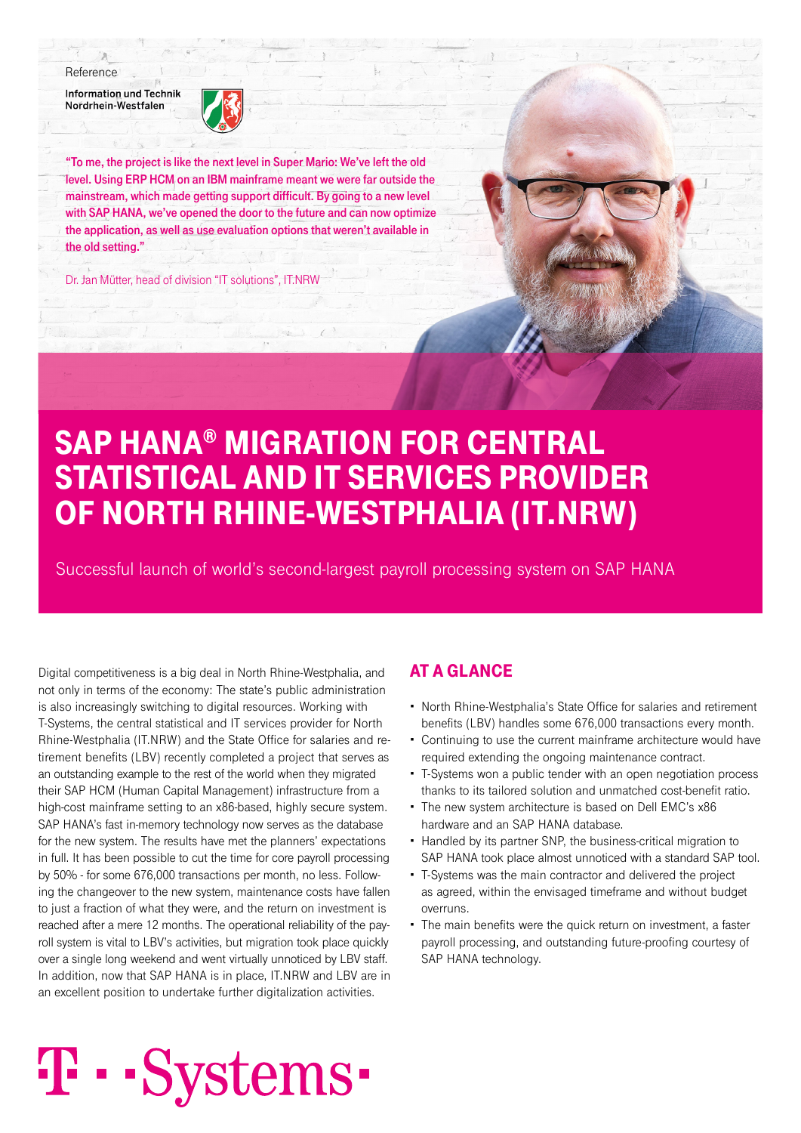#### Reference

**Information und Technik** Nordrhein-Westfalen



"To me, the project is like the next level in Super Mario: We've left the old level. Using ERP HCM on an IBM mainframe meant we were far outside the mainstream, which made getting support difficult. By going to a new level with SAP HANA, we've opened the door to the future and can now optimize the application, as well as use evaluation options that weren't available in the old setting."

Dr. Jan Mütter, head of division "IT solutions", IT.NRW

## SAP HANA® MIGRATION FOR CENTRAL STATISTICAL AND IT SERVICES PROVIDER OF NORTH RHINE-WESTPHALIA (IT.NRW)

Successful launch of world's second-largest payroll processing system on SAP HANA

Digital competitiveness is a big deal in North Rhine-Westphalia, and not only in terms of the economy: The state's public administration is also increasingly switching to digital resources. Working with T-Systems, the central statistical and IT services provider for North Rhine-Westphalia (IT.NRW) and the State Office for salaries and retirement benefits (LBV) recently completed a project that serves as an outstanding example to the rest of the world when they migrated their SAP HCM (Human Capital Management) infrastructure from a high-cost mainframe setting to an x86-based, highly secure system. SAP HANA's fast in-memory technology now serves as the database for the new system. The results have met the planners' expectations in full. It has been possible to cut the time for core payroll processing by 50% - for some 676,000 transactions per month, no less. Following the changeover to the new system, maintenance costs have fallen to just a fraction of what they were, and the return on investment is reached after a mere 12 months. The operational reliability of the payroll system is vital to LBV's activities, but migration took place quickly over a single long weekend and went virtually unnoticed by LBV staff. In addition, now that SAP HANA is in place, IT.NRW and LBV are in an excellent position to undertake further digitalization activities.

### AT A GLANCE

- North Rhine-Westphalia's State Office for salaries and retirement benefits (LBV) handles some 676,000 transactions every month.
- Continuing to use the current mainframe architecture would have required extending the ongoing maintenance contract.
- T-Systems won a public tender with an open negotiation process thanks to its tailored solution and unmatched cost-benefit ratio.
- The new system architecture is based on Dell EMC's x86 hardware and an SAP HANA database.
- Handled by its partner SNP, the business-critical migration to SAP HANA took place almost unnoticed with a standard SAP tool.
- T-Systems was the main contractor and delivered the project as agreed, within the envisaged timeframe and without budget overruns.
- The main benefits were the quick return on investment, a faster payroll processing, and outstanding future-proofing courtesy of SAP HANA technology.

# T · · Systems ·